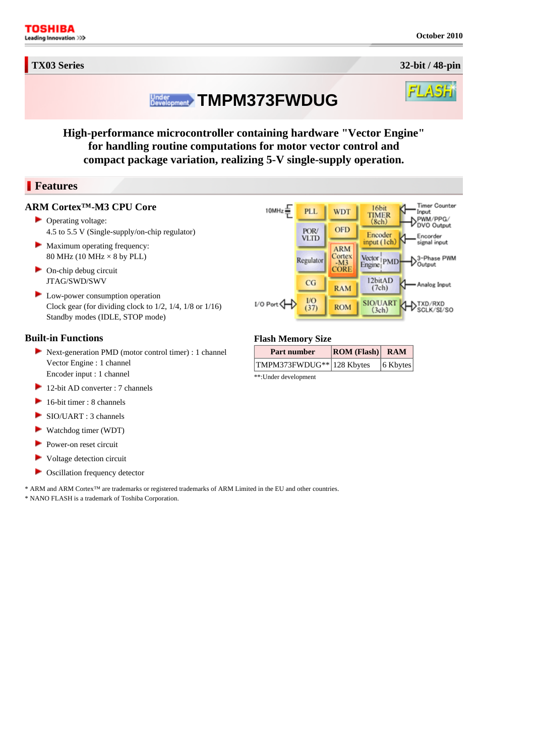**TX03 Series 32-bit / 48-pin**

# **Linder** TMPM373FWDUG

**High-performance microcontroller containing hardware "Vector Engine" for handling routine computations for motor vector control and compact package variation, realizing 5-V single-supply operation.** 

# **Features**

#### **ARM Cortex™-M3 CPU Core**

- ▶ Operating voltage: 4.5 to 5.5 V (Single-supply/on-chip regulator)
- Maximum operating frequency: 80 MHz (10 MHz  $\times$  8 by PLL)
- $\triangleright$  On-chip debug circuit JTAG/SWD/SWV
- **Low-power consumption operation** Clock gear (for dividing clock to 1/2, 1/4, 1/8 or 1/16) Standby modes (IDLE, STOP mode)

## **Built-in Functions**

- Next-generation PMD (motor control timer) : 1 channel Vector Engine : 1 channel Encoder input : 1 channel
- 12-bit AD converter : 7 channels
- $\blacktriangleright$  16-bit timer : 8 channels
- SIO/UART : 3 channels
- Watchdog timer (WDT)
- Power-on reset circuit
- $\blacktriangleright$  Voltage detection circuit
- **►** Oscillation frequency detector

\* ARM and ARM Cortex™ are trademarks or registered trademarks of ARM Limited in the EU and other countries. \* NANO FLASH is a trademark of Toshiba Corporation.



### **Flash Memory Size**

| Part number               | $\vert$ ROM (Flash) RAM |             |
|---------------------------|-------------------------|-------------|
| TMPM373FWDUG** 128 Kbytes |                         | $ 6$ Kbytes |
| **·Linder development     |                         |             |

: Under development